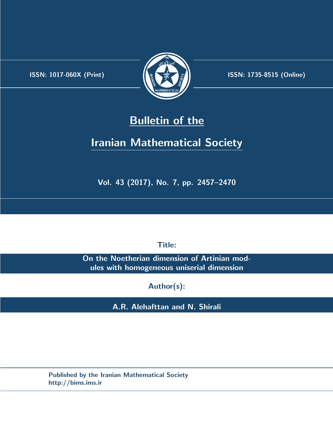.



**ISSN:** 1017-060X (Print)  $\left(\frac{1}{2}\right)$   $\frac{1}{2}$   $\frac{1}{2}$   $\frac{1}{2}$  **ISSN:** 1735-8515 (Online)

# **Bulletin of the**

# **Iranian Mathematical Society**

**Vol. 43 (2017), No. 7, pp. 2457–2470**

**Title:**

**On the Noetherian dimension of Artinian modules with homogeneous uniserial dimension**

**Author(s):**

**A.R. Alehafttan and N. Shirali**

**Published by the Iranian Mathematical Society http://bims.ims.ir**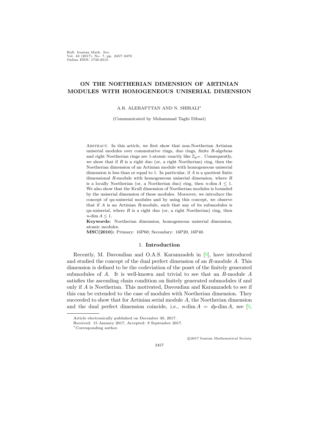Bull. Iranian Math. Soc. Vol. 43 (2017), No. 7, pp. 2457–2470 Online ISSN: 1735-8515

# **ON THE NOETHERIAN DIMENSION OF ARTINIAN MODULES WITH HOMOGENEOUS UNISERIAL DIMENSION**

## A.R. ALEHAFTTAN AND N. SHIRALI*∗*

(Communicated by Mohammad Taghi Dibaei)

Abstract. In this article, we first show that non-Noetherian Artinian uniserial modules over commutative rings, duo rings, finite *R*-algebras and right Noetherian rings are 1-atomic exactly like  $\mathbb{Z}_{p^{\infty}}$ . Consequently, we show that if *R* is a right duo (or, a right Noetherian) ring, then the Noetherian dimension of an Artinian module with homogeneous uniserial dimension is less than or equal to 1. In particular, if *A* is a quotient finite dimensional *R*-module with homogeneous uniserial dimension, where *R* is a locally Noetherian (or, a Noetherian duo) ring, then  $n$ -dim  $A \leq 1$ . We also show that the Krull dimension of Noetherian modules is bounded by the uniserial dimension of these modules. Moreover, we introduce the concept of qu-uniserial modules and by using this concept, we observe that if *A* is an Artinian *R*-module, such that any of its submodules is qu-uniserial, where  $R$  is a right duo (or, a right Noetherian) ring, then *n*-dim *A ≤* 1.

**Keywords:** Noetherian dimension, homogeneous uniserial dimension, atomic modules.

**MSC(2010):** Primary: 16P60; Secondary: 16P20, 16P40.

# 1. **Introduction**

Recently, M. Davoudian and O.A.S. Karamzadeh in [[9\]](#page-13-0), have introduced and studied the concept of the dual perfect dimension of an *R*-module *A*. This dimension is defined to be the codeviation of the poset of the finitely generated submodules of *A*. It is well-known and trivial to see that an *R*-module *A* satisfies the ascending chain condition on finitely generated submodules if and only if *A* is Noetherian. This motivated, Davoudian and Karamzadeh to see if this can be extended to the case of modules with Noetherian dimension. They succeeded to show that for Artinian serial module *A*, the Noetherian dimension and the dual perfect dimension coincide, i.e.,  $n$ -dim  $A = dp$ -dim  $A$ , see [\[9](#page-13-0),

*⃝*c 2017 Iranian Mathematical Society

2457

Article electronically published on December 30, 2017.

Received: 15 January 2017, Accepted: 9 September 2017.

*<sup>∗</sup>*Corresponding author.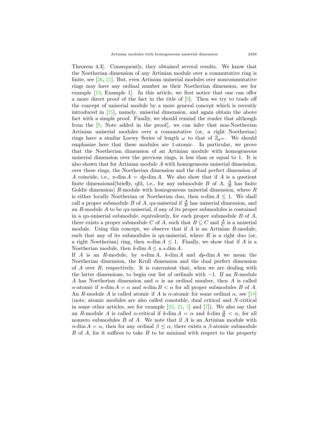Theorem 4.3]. Consequently, they obtained several results. We know that the Noetherian dimension of any Artinian module over a commutative ring is finite, see [[26,](#page-14-0) [21\]](#page-13-1). But, even Artinian uniserial modules over noncommutative rings may have any ordinal number as their Noetherian dimension, see for example [\[19](#page-13-2), Example 1]. In this article, we first notice that one can offer a more direct proof of the fact in the title of  $[9]$  $[9]$  $[9]$ . Then we try to trade off the concept of uniserial module by a more general concept which is recently introduced in [[25](#page-14-1)], namely, uniserial dimension, and again obtain the above fact with a simple proof. Finally, we should remind the reader that although from the [[9,](#page-13-0) Note added in the proof], we can infer that non-Noetherian Artinian uniserial modules over a commutative (or, a right Noetherian) rings have a similar Loewy Series of length  $\omega$  to that of  $\mathbb{Z}_{p^{\infty}}$ . We should emphasize here that these modules are 1-atomic. In particular, we prove that the Noetherian dimension of an Artinian module with homogeneous uniserial dimension over the previous rings, is less than or equal to 1. It is also shown that for Artinian module *A* with homogeneous uniserial dimension, over these rings, the Noetherian dimension and the dual perfect dimension of *A* coincide, i.e., *n*-dim  $A = dp$ -dim *A*. We also show that if *A* is a quotient finite dimensional(briefly, qfd, i.e., for any submodule *B* of *A*,  $\frac{A}{B}$  has finite Goldie dimension) *R*-module with homogeneous uniserial dimension, where *R* is either locally Noetherian or Noetherian duo, then  $n$ -dim  $A \leq 1$ . We shall call a proper submodule *B* of *A*, qu-uniserial if  $\frac{A}{B}$  has uniserial dimension, and an *R*-module *A* to be qu-uniserial, if any of its proper submodules is contained in a qu-uniserial submodule, equivalently, for each proper submodule *B* of *A*, there exists a proper submodule *C* of *A*, such that  $B \subseteq C$  and  $\frac{A}{C}$  is a uniserial module. Using this concept, we observe that if *A* is an Artinian *R*-module, such that any of its submodules is qu-uniserial, where  $R$  is a right duo (or, a right Noetherian) ring, then  $n$ -dim  $A \leq 1$ . Finally, we show that if *A* is a Noetherian module, then  $k$ -dim  $A \leq u \cdot s$ -dim  $A$ .

If *A* is an *R*-module, by *n*-dim *A*, *k*-dim *A* and *dp*-dim *A* we mean the Noetherian dimension, the Krull dimension and the dual perfect dimension of *A* over *R*, respectively. It is convenient that, when we are dealing with the latter dimensions, to begin our list of ordinals with *−*1. If an *R*-module *A* has Noetherian dimension and  $\alpha$  is an ordinal number, then *A* is called *α*-atomic if *n*-dim *A* = *α* and *n*-dim *B < α* for all proper submodules *B* of *A*. An *R*-module *A* is called atomic if *A* is  $\alpha$ -atomic for some ordinal  $\alpha$ , see [[18](#page-13-3)] (note, atomic modules are also called conotable, dual critical and *N*-critical in some other articles, see for example  $[23, 21, 5]$  $[23, 21, 5]$  $[23, 21, 5]$  $[23, 21, 5]$  $[23, 21, 5]$  and  $[7]$  $[7]$ ). We also say that an *R*-module *A* is called *α*-critical if  $k$ -dim  $A = \alpha$  and  $k$ -dim  $\frac{A}{B} < \alpha$ , for all nonzero submodules *B* of *A*. We note that if *A* is an Artinian module with  $n\text{-dim } A = \alpha$ , then for any ordinal  $\beta \leq \alpha$ , there exists a  $\beta$ -atomic submodule *B* of *A*, for it suffices to take *B* to be minimal with respect to the property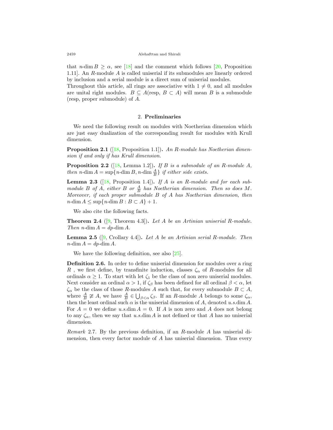that *n*-dim  $B \ge \alpha$ , see [[18\]](#page-13-3) and the comment which follows [[20,](#page-13-7) Proposition 1.11]. An *R*-module *A* is called uniserial if its submodules are linearly ordered by inclusion and a serial module is a direct sum of uniserial modules.

Throughout this article, all rings are associative with  $1 \neq 0$ , and all modules are unital right modules.  $B \subseteq A$ (resp,  $B \subset A$ ) will mean *B* is a submodule (resp, proper submodule) of *A*.

### 2. **Preliminaries**

We need the following result on modules with Noetherian dimension which are just easy dualization of the corresponding result for modules with Krull dimension.

**Proposition 2.1** ([[18,](#page-13-3) Proposition 1.1])**.** *An R-module has Noetherian dimension if and only if has Krull dimension.*

**Proposition 2.2** ([[18,](#page-13-3) Lemma 1.2])**.** *If B is a submodule of an R-module A, then*  $n$ -dim  $A = \sup\{n$ -dim  $B$ ,  $n$ -dim  $\frac{A}{B}$  *if either side exists.* 

<span id="page-3-0"></span>**Lemma 2.3** ([[18,](#page-13-3) Proposition 1.4])**.** *If A is an R-module and for each submodule B of A*, *either B or*  $\frac{A}{B}$  *has Noetherian dimension. Then so does M*. *Moreover, if each proper submodule B of A has Noetherian dimension, then*  $n$ -dim  $A \leq \sup\{n\text{-dim } B : B \subset A\} + 1$ .

We also cite the following facts.

<span id="page-3-1"></span>**Theorem 2.4** ([[9,](#page-13-0) Theorem 4.3])**.** *Let A be an Artinian uniserial R-module. Then*  $n$ -dim  $A = dp$ -dim  $A$ .

**Lemma 2.5** ([\[9](#page-13-0), Crollary 4.4])**.** *Let A be an Artinian serial R-module. Then*  $n$ -dim  $A = dp$ -dim  $A$ .

We have the following definition, see also [\[25](#page-14-1)].

**Definition 2.6.** In order to define uniserial dimension for modules over a ring *R*, we first define, by transfinite induction, classes  $\zeta_{\alpha}$  of *R*-modules for all ordinals  $\alpha \geq 1$ . To start with let  $\zeta_1$  be the class of non zero uniserial modules. Next consider an ordinal  $\alpha > 1$ , if  $\zeta_{\beta}$  has been defined for all ordinal  $\beta < \alpha$ , let  $ζ<sub>α</sub>$  be the class of those *R*-modules *A* such that, for every submodule *B*  $subset A$ , where  $\frac{A}{B} \ncong A$ , we have  $\frac{A}{B} \in \bigcup_{\beta < \alpha} \zeta_{\beta}$ . If an *R*-module *A* belongs to some  $\zeta_{\alpha}$ , then the least ordinal such  $\alpha$  is the uniserial dimension of  $A$ , denoted  $u.s.\dim A$ . For  $A = 0$  we define u.s.dim  $A = 0$ . If A is non zero and A does not belong to any  $\zeta_{\alpha}$ , then we say that *u.s.*dim *A* is not defined or that *A* has no uniserial dimension.

<span id="page-3-2"></span>*Remark* 2.7*.* By the previous definition, if an *R*-module *A* has uniserial dimension, then every factor module of *A* has uniserial dimension. Thus every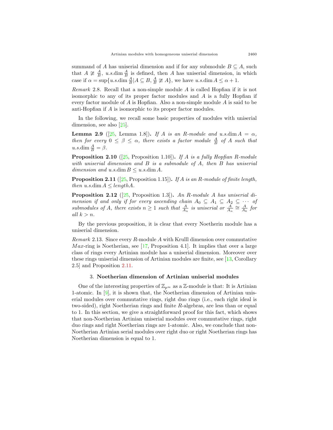summand of *A* has uniserial dimension and if for any submodule  $B \subseteq A$ , such that  $A \ncong \frac{A}{B}$ , *u.s.*dim  $\frac{A}{B}$  is defined, then *A* has uniserial dimension, in which case if  $\alpha = \sup\{u \cdot s \cdot \dim \frac{A}{B} | A \subseteq B, \frac{A}{B} \ncong A\}$ , we have  $u \cdot s \cdot \dim A \leq \alpha + 1$ .

*Remark* 2.8*.* Recall that a non-simple module *A* is called Hopfian if it is not isomorphic to any of its proper factor modules and *A* is a fully Hopfian if every factor module of *A* is Hopfian. Also a non-simple module *A* is said to be anti-Hopfian if *A* is isomorphic to its proper factor modules.

In the following, we recall some basic properties of modules with uniserial dimension, see also [[25\]](#page-14-1).

<span id="page-4-1"></span>**Lemma 2.9** ([\[25](#page-14-1), Lemma 1.8])**.** *If A is an R-module and u.s.dim*  $A = \alpha$ *, then for every*  $0 \leq \beta \leq \alpha$ , *there exists a factor module*  $\frac{A}{B}$  *of A such that*  $u.s.\dim \frac{A}{B} = \beta.$ 

<span id="page-4-2"></span>**Proposition 2.10** ([[25](#page-14-1), Proposition 1.10])**.** *If A is a fully Hopfian R-module with uniserial dimension and B is a submodule of A, then B has uniserial dimension and u.s.*dim  $B \le u$ *.s.dim A.* 

<span id="page-4-0"></span>**Proposition 2.11** ([\[25](#page-14-1), Proposition 1.15])**.** *If A is an R-module of finite length, then*  $u.s.dim A \leq length A$ *.* 

**Proposition 2.12** ([[25,](#page-14-1) Proposition 1.3])**.** *An R-module A has uniserial dimension if and only if for every ascending chain*  $A_0 \subseteq A_1 \subseteq A_2 \subseteq \cdots$  of *submodules of A*, there exists  $n \geq 1$  *such that*  $\frac{A}{A_n}$  *is uniserial or*  $\frac{A}{A_n} \cong \frac{A}{A_k}$  *for all k > n.*

By the previous proposition, it is clear that every Noetherin module has a uniserial dimension.

*Remark* 2.13*.* Since every *R*-module *A* with Krulll dimension over commutative *M ax*-ring is Noetherian, see [\[17](#page-13-8), Proposition 4.1]. It implies that over a large class of rings every Artinian module has a uniserial dimension. Moreover over these rings uniserial dimension of Artinian modules are finite, see [[13](#page-13-9), Corollary 2.5] and Proposition [2.11.](#page-4-0)

# 3. **Noetherian dimension of Artinian uniserial modules**

One of the interesting properties of  $\mathbb{Z}_{p^{\infty}}$  as a  $\mathbb{Z}$ -module is that: It is Artinian 1-atomic. In  $[9]$  $[9]$ , it is shown that, the Noetherian dimension of Artinian uniserial modules over commutative rings, right duo rings (i.e., each right ideal is two-sided), right Noetherian rings and finite *R*-algebras, are less than or equal to 1. In this section, we give a straightforward proof for this fact, which shows that non-Noetherian Artinian uniserial modules over commutative rings, right duo rings and right Noetherian rings are 1-atomic. Also, we conclude that non-Noetherian Artinian serial modules over right duo or right Noetherian rings has Noetherian dimension is equal to 1.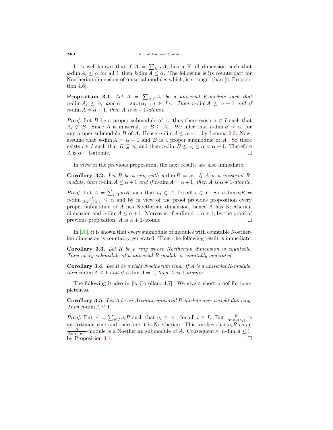2461 Alehafttan and Shirali

It is well-known that if  $A = \sum_{i \in I} A_i$  has a Krull dimension such that  $k$ -dim  $A_i \leq \alpha$  for all *i*, then  $k$ -dim  $A \leq \alpha$ . The following is its counterpart for Noetherian dimension of uniserial modules which, is stronger than [[9,](#page-13-0) Proposition 4.6].

<span id="page-5-0"></span>**Proposition 3.1.** *Let*  $A = \sum_{i \in I} A_i$  *be a uniserial R-module such that*  $n$ -dim  $A_i \leq \alpha_i$  and  $\alpha = \sup\{\alpha_i : i \in I\}$ . Then  $n$ -dim  $A \leq \alpha + 1$  and if *n*-dim  $A = \alpha + 1$ , then  $A$  is  $\alpha + 1$ -atomic.

*Proof.* Let *B* be a proper submodule of *A*, thus there exists  $i \in I$  such that  $A_i \nsubseteq B$ . Since *A* is uniserial, so  $B \subseteq A_i$ . We infer that *n*-dim  $B \leq \alpha_i$  for any proper submodule *B* of *A*. Hence *n*-dim  $A \leq \alpha + 1$ , by Lemma [2.3](#page-3-0). Now, assume that  $n$ -dim  $A = \alpha + 1$  and *B* is a proper submodule of *A*. So there exists  $i \in I$  such that  $B \subseteq A_i$  and then  $n$ -dim  $B \leq \alpha_i \leq \alpha < \alpha + 1$ . Therefore *A* is  $\alpha + 1$ -atomic. □

In view of the previous proposition, the next results are also immediate.

**Corollary 3.2.** *Let R be a ring with*  $n$ -dim  $R = \alpha$ *. If A is a uniserial Rmodule, then n-dim*  $A \leq \alpha + 1$  *<i>and if n-dim*  $A = \alpha + 1$ *, then*  $A$  *is*  $\alpha + 1$ *-atomic.* 

*Proof.* Let  $A = \sum_{i \in I} a_i R$  such that  $a_i \in A$ , for all  $i \in I$ . So *n*-dim  $a_i R =$ *n*-dim  $\frac{R}{Ann_r(a_i)} \leq \alpha$  and by in view of the proof previous proposition every proper submodule of *A* has Noetherian dimension, hence *A* has Noetherian dimension and  $n$ -dim  $A \leq \alpha + 1$ . Moreover, if  $n$ -dim  $A = \alpha + 1$ , by the proof of previous proposition,  $A$  is  $\alpha + 1$ -atomic. □

In [\[20](#page-13-7)], it is shown that every submodule of modules with countable Noetherian dimension is countably generated. Thus, the following result is immediate.

**Corollary 3.3.** *Let R be a ring whose Noetherian dimension is countable. Then every submodule of a uniserial R-module is countably generated.*

**Corollary 3.4.** *Let R be a right Noetherian ring. If A is a uniserial R-module, then*  $n$ -dim  $A \leq 1$  *and if*  $n$ -dim  $A = 1$ *, then*  $A$  *is* 1-*atomic.* 

The following is also in [[9,](#page-13-0) Corollary 4.7]. We give a short proof for completeness.

**Corollary 3.5.** *Let A be an Artinian uniserial R-module over a right duo ring. Then n*-dim  $A \leq 1$ *.* 

*Proof.* Put  $A = \sum_{i \in I} a_i R$  such that  $a_i \in A$ , for all  $i \in I$ . But  $\frac{R}{Ann_r(a_i)}$  is an Artinian ring and therefore it is Noetherian. This implies that  $a_iR$  as an  $\frac{R}{Ann_r(a_i)}$ -module is a Noetherian submodule of *A*. Consequently, *n*-dim  $A \leq 1$ , by Proposition [3.1](#page-5-0).  $\Box$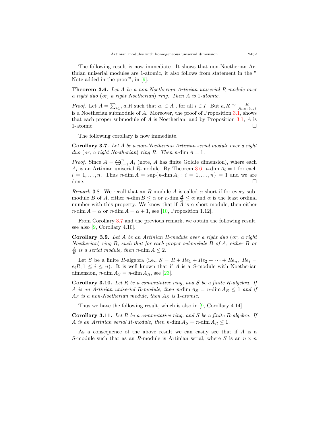The following result is now immediate. It shows that non-Noetherian Artinian uniserial modules are 1-atomic, it also follows from statement in the " Note added in the proof", in [\[9](#page-13-0)].

<span id="page-6-0"></span>**Theorem 3.6.** *Let A be a non-Noetherian Artinian uniserial R-module over a right duo* (*or, a right Noetherian*) *ring. Then A is* 1*-atomic.*

*Proof.* Let  $A = \sum_{i \in I} a_i R$  such that  $a_i \in A$ , for all  $i \in I$ . But  $a_i R \cong \frac{R}{Ann_r(a_i)}$ is a Noetherian submodule of *A*. Moreover, the proof of Proposition [3.1](#page-5-0), shows that each proper submodule of *A* is Noetherian, and by Proposition [3.1,](#page-5-0) *A* is 1-atomic.  $\Box$ 

The following corollary is now immediate.

<span id="page-6-1"></span>**Corollary 3.7.** *Let A be a non-Noetherian Artinian serial module over a right duo* (*or, a right Noetherian*) *ring R. Then n*-dim  $A = 1$ *.* 

*Proof.* Since  $A = \bigoplus_{i=1}^{n} A_i$  (note, *A* has finite Goldie dimension), where each  $A_i$  is an Artinian uniserial *R*-module. By Theorem [3.6,](#page-6-0) *n*-dim  $A_i = 1$  for each  $i = 1, ..., n$ . Thus *n*-dim  $A = \sup\{n \text{-dim } A_i : i = 1, ..., n\} = 1$  and we are done.  $\Box$ 

*Remark* 3.8*.* We recall that an *R*-module *A* is called *α*-short if for every submodule *B* of *A*, either  $n$ -dim  $B \leq \alpha$  or  $n$ -dim  $\frac{A}{B} \leq \alpha$  and  $\alpha$  is the least ordinal number with this property. We know that if  $A$  is  $\alpha$ -short module, then either  $n\text{-dim } A = \alpha$  or  $n\text{-dim } A = \alpha + 1$ , see [\[10](#page-13-10), Proposition 1.12].

From Corollary [3.7](#page-6-1) and the previous remark, we obtain the following result, see also [[9,](#page-13-0) Corollary 4.10].

**Corollary 3.9.** *Let A be an Artinian R-module over a right duo* (*or, a right Noetherian*) *ring R, such that for each proper submodule B of A, either B or*  $\frac{A}{B}$  *is a serial module, then n*-dim  $A \leq 2$ *.* 

Let *S* be a finite *R*-algebra (i.e.,  $S = R + Re_1 + Re_2 + \cdots + Re_n$ ,  $Re_i =$  $e_iR, 1 \leq i \leq n$ . It is well known that if *A* is a *S*-module with Noetherian dimension, *n*-dim  $A_S = n$ -dim  $A_R$ , see [[23\]](#page-13-4).

**Corollary 3.10.** *Let R be a commutative ring, and S be a finite R-algebra. If A is an Artinian uniserial R-module, then n*-dim  $A_S = n$ -dim  $A_R \leq 1$  *and if A<sup>S</sup> is a non-Noetherian module, then A<sup>S</sup> is* 1*-atomic.*

Thus we have the following result, which is also in [[9,](#page-13-0) Corollary 4.14].

**Corollary 3.11.** *Let R be a commutative ring, and S be a finite R-algebra. If A is an Artinian serial R-module, then*  $n$ *-dim*  $A_S = n$ *-dim*  $A_R \leq 1$ *.* 

As a consequence of the above result we can easily see that if *A* is a *S*-module such that as an *R*-module is Artinian serial, where *S* is an  $n \times n$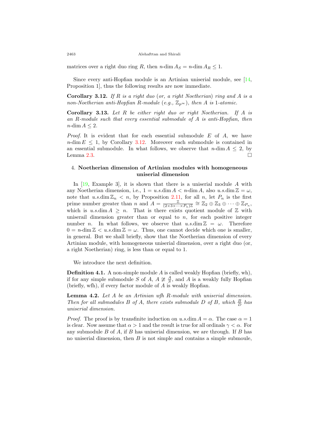matrices over a right duo ring *R*, then  $n$ -dim  $A_S = n$ -dim  $A_R \leq 1$ .

Since every anti-Hopfian module is an Artinian uniserial module, see [\[14](#page-13-11), Proposition 1], thus the following results are now immediate.

<span id="page-7-0"></span>**Corollary 3.12.** *If R is a right duo* (*or, a right Noetherian*) *ring and A is a non-Noetherian anti-Hopfian R-module* (*e.g.,*  $\mathbb{Z}_{p^{\infty}}$ )*, then A is* 1*-atomic.* 

**Corollary 3.13.** *Let R be either right duo or right Noetherian. If A is an R-module such that every essential submodule of A is anti-Hopfian, then*  $n$ -dim  $A \leq 2$ .

*Proof.* It is evident that for each essential submodule *E* of *A*, we have  $n\text{-dim } E \leq 1$ , by Corollary [3.12](#page-7-0). Moreover each submodule is contained in an essential submodule. In what follows, we observe that  $n\text{-dim } A \leq 2$ , by Lemma [2.3](#page-3-0).  $\Box$ 

# 4. **Noetherian dimension of Artinian modules with homogeneous uniserial dimension**

In [[19,](#page-13-2) Example 3], it is shown that there is a uniserial module *A* with any Noetherian dimension, i.e.,  $1 = u.s.\dim A < n$ -dim *A*, also  $u.s.\dim \mathbb{Z} = \omega$ , note that  $u.s.\dim \mathbb{Z}_n < n$ , by Proposition [2.11,](#page-4-0) for all *n*, let  $P_n$  is the first prime number greater than *n* and  $A = \frac{\mathbb{Z}}{(2 \times 3 \times \cdots \times P_n)\mathbb{Z}} \cong \mathbb{Z}_2 \oplus \mathbb{Z}_3 \oplus \cdots \oplus \mathbb{Z}_{P_n}$ , which is  $u.s.\dim A \geq n$ . That is there exists quotient module of  $\mathbb Z$  with uniserail dimension greater than or equal to  $n$ , for each positive integer number *n*. In what follows, we observe that  $u.s.\dim\mathbb{Z} = \omega$ . Therefore  $0 = n$ -dim  $\mathbb{Z} < u.s.\dim \mathbb{Z} = \omega$ . Thus, one cannot decide which one is smaller, in general. But we shall briefly, show that the Noetherian dimension of every Artinian module, with homogeneous uniserial dimension, over a right duo (or, a right Noetherian) ring, is less than or equal to 1.

We introduce the next definition.

**Definition 4.1.** A non-simple module *A* is called weakly Hopfian (briefly, wh), if for any simple submodule *S* of *A*,  $A \ncong \frac{A}{S}$ , and *A* is a weakly fully Hopfian (briefly, wfh), if every factor module of *A* is weakly Hopfian.

**Lemma 4.2.** *Let A be an Artinian wfh R-module with uniserial dimension. Then for all submodules B of A, there exists submodule D of B, which*  $\frac{B}{D}$  *has uniserial dimension.*

*Proof.* The proof is by transfinite induction on *u.s.*dim  $A = \alpha$ . The case  $\alpha = 1$ is clear. Now assume that  $\alpha > 1$  and the result is true for all ordinals  $\gamma < \alpha$ . For any submodule *B* of *A*, if *B* has uniserial dimension, we are through. If *B* has no uniserial dimension, then *B* is not simple and contains a simple submoule,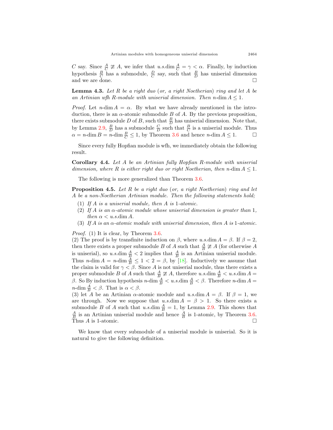*C* say. Since  $\frac{A}{C} \not\cong A$ , we infer that *u.s.*dim  $\frac{A}{C} = \gamma < \alpha$ . Finally, by induction hypothesis  $\frac{B}{C}$  has a submodule,  $\frac{D}{C}$  say, such that  $\frac{B}{D}$  has uniserial dimension and we are done. □

**Lemma 4.3.** *Let R be a right duo* (*or, a right Noetherian*) *ring and let A be an Artinian wfh R-module with uniserial dimension. Then n-dim*  $A \leq 1$ *.* 

*Proof.* Let *n*-dim  $A = \alpha$ . By what we have already mentioned in the introduction, there is an  $\alpha$ -atomic submodule *B* of *A*. By the previous proposition, there exists submodule *D* of *B*, such that  $\frac{B}{D}$  has uniserial dimension. Note that, by Lemma [2.9,](#page-4-1)  $\frac{B}{D}$  has a submodule  $\frac{C}{D}$  such that  $\frac{B}{C}$  is a uniserial module. Thus  $\alpha = n$ -dim  $B = n$ -dim  $\frac{B}{C} \leq 1$ , by Theorem [3.6](#page-6-0) and hence *n*-dim  $A \leq 1$ . □

Since every fully Hopfian module is wfh, we immediately obtain the following result.

**Corollary 4.4.** *Let A be an Artinian fully Hopfian R-module with uniserial dimension, where R is either right duo or right Noetherian, then n-*dim *A ≤* 1*.*

The following is more generalized than Theorem [3.6](#page-6-0).

<span id="page-8-0"></span>**Proposition 4.5.** *Let R be a right duo* (*or, a right Noetherian*) *ring and let A be a non-Noetherian Artinian module. Then the following statements hold;*

- (1) *If A is a uniserial module, then A is* 1*-atomic.*
- (2) *If A is an α-atomic module whose uniserial dimension is greater than* 1*, then*  $\alpha < u.s.d$ *im A.*
- (3) *If A is an α-atomic module with uniserial dimension, then A is* 1*-atomic.*

*Proof.* (1) It is clear, by Theorem [3.6](#page-6-0).

(2) The proof is by transfinite induction on *β*, where *u.s.*dim *A* = *β*. If *β* = 2, then there exists a proper submodule *B* of *A* such that  $\frac{A}{B} \ncong A$  (for otherwise *A* is uniserial), so  $u.s.\dim\frac{A}{B} < 2$  implies that  $\frac{A}{B}$  is an Artinian uniserial module. Thus *n*-dim  $A = n$ -dim  $\frac{A}{B} \leq 1 < 2 = \beta$ , by [\[18](#page-13-3)]. Inductively we assume that the claim is valid for  $\gamma < \beta$ . Since *A* is not uniserial module, thus there exists a proper submodule *B* of *A* such that  $\frac{A}{B} \ncong A$ , therefore *u.s.*dim  $\frac{A}{B} < u.s.\dim A =$ *β*. So By induction hypothesis *n*-dim  $\frac{A}{B}$  < *u.s.*dim  $\frac{A}{B}$  < *β*. Therefore *n*-dim *A* = *n*-dim  $\frac{A}{B} < \beta$ . That is  $\alpha < \beta$ .

(3) let *A* be an Artinian *α*-atomic module and *u.s.*dim  $A = \beta$ . If  $\beta = 1$ , we are through. Now we suppose that  $u.s.\dim A = \beta > 1$ . So there exists a submodule *B* of *A* such that *u.s.*dim  $\frac{A}{B} = 1$ , by Lemma [2.9.](#page-4-1) This shows that  $\frac{A}{B}$  is an Artinian uniserial module and hence  $\frac{A}{B}$  is 1-atomic, by Theorem [3.6](#page-6-0). Thus *A* is 1-atomic.  $\Box$ 

We know that every submodule of a uniserial module is uniserial. So it is natural to give the following definition.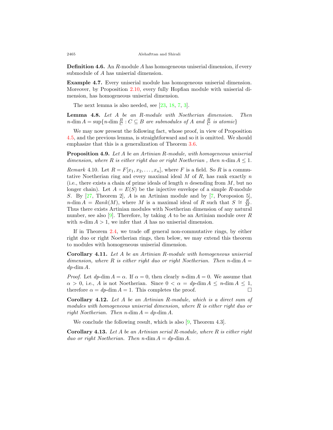**Definition 4.6.** An *R*-module *A* has homogeneous uniserial dimension, if every submodule of *A* has uniserial dimension.

**Example 4.7.** Every uniserial module has homogeneous uniserial dimension. Moreover, by Proposition [2.10,](#page-4-2) every fully Hopfian module with uniserial dimension, has homogeneous uniserial dimension.

The next lemma is also needed, see [[23,](#page-13-4) [18,](#page-13-3) [7,](#page-13-6) [3\]](#page-13-12).

**Lemma 4.8.** *Let A be an R-module with Noetherian dimension. Then*  $n$ -dim  $A = \sup\{n$ -dim  $\frac{B}{C} : C \subseteq B$  *are submodules of*  $A$  *and*  $\frac{B}{C}$  *is atomic*}

We may now present the following fact, whose proof, in view of Proposition [4.5,](#page-8-0) and the previous lemma, is straightforward and so it is omitted. We should emphasize that this is a generalization of Theorem [3.6.](#page-6-0)

<span id="page-9-0"></span>**Proposition 4.9.** *Let A be an Artinian R-module, with homogeneous uniserial dimension, where*  $R$  *is either right duo or right Noetherian, then n-dim*  $A \leq 1$ *.* 

*Remark* 4.10*.* Let  $R = F[x_1, x_2, \ldots, x_n]$ , where *F* is a field. So *R* is a commutative Noetherian ring and every maximal ideal *M* of *R*, has rank exactly *n* (i.e., there exists a chain of prime ideals of length *n* desending from *M*, but no longer chain). Let  $A = E(S)$  be the injective envelope of a simple *R*-module *S*. By [\[27](#page-14-2), Theorem 2], *A* is an Artinian module and by [[7,](#page-13-6) Poroposion 5], *n*-dim  $A = Rank(M)$ , where *M* is a maximal ideal of *R* such that  $S \cong \frac{R}{M}$ . Thus there exists Artinian modules with Noetherian dimension of any natural number, see also [[9\]](#page-13-0). Therefore, by taking *A* to be an Artinian module over *R* with  $n$ -dim  $A > 1$ , we infer that A has no uniserial dimension.

If in Theorem [2.4](#page-3-1), we trade off general non-commutative rings, by either right duo or right Noetherian rings, then below, we may extend this theorem to modules with homogeneous uniserial dimension.

**Corollary 4.11.** *Let A be an Artinian R-module with homogeneous uniserial dimension, where*  $R$  *is either right duo or right Noetherian. Then n*-dim  $A =$ *dp-*dim *A.*

*Proof.* Let  $dp \dim A = \alpha$ . If  $\alpha = 0$ , then clearly *n*-dim  $A = 0$ . We assume that  $\alpha > 0$ , i.e., *A* is not Noetherian. Since  $0 < \alpha = dp$ -dim  $A \leq n$ -dim  $A \leq 1$ , therefore  $\alpha = dp$ -dim  $A = 1$ . This completes the proof. □

**Corollary 4.12.** *Let A be an Artinian R-module, which is a direct sum of modules with homogeneous uniserial dimension, where R is either right duo or right Noetherian. Then n-dim*  $A = dp$ *-dim*  $A$ *.* 

We conclude the following result, which is also [[9](#page-13-0), Theorem 4.3].

**Corollary 4.13.** *Let A be an Artinian serial R-module, where R is either right duo or right Noetherian. Then n-dim*  $A = dp$ *-dim*  $A$ *.*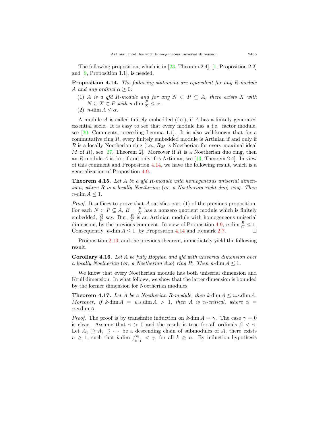The following proposition, which is in  $[23,$  $[23,$  Theorem 2.4,  $[1,$  $[1,$  Proposition 2.2 and [\[9](#page-13-0), Proposition 1.1], is needed.

<span id="page-10-0"></span>**Proposition 4.14.** *The following statement are equivalent for any R-module A and any ordinal*  $\alpha \geq 0$ *:* 

- (1) *A is a qfd R-module and for any*  $N \subset P \subseteq A$ *, there exists X with*  $N \subseteq X \subset P$  *with*  $n$ -dim  $\frac{P}{X} \leq \alpha$ .
- (2)  $n\text{-dim } A \leq \alpha$ .

A module *A* is called finitely embedded (f.e.), if *A* has a finitely generated essential socle. It is easy to see that every module has a f.e. factor module, see [\[20,](#page-13-7) Comments, preceding Lemma 1.1]. It is also well-known that for a commutative ring *R*, every finitely embedded module is Artinian if and only if *R* is a locally Noetherian ring (i.e., *R<sup>M</sup>* is Noetherian for every maximal ideal *M* of *R*), see [\[27](#page-14-2), Theorem 2]. Moreover if *R* is a Noetherian duo ring, then an *R*-module *A* is f.e., if and only if is Artinian, see [[13](#page-13-9), Theorem 2.4]. In view of this comment and Proposition [4.14](#page-10-0), we have the following result, which is a generalization of Proposition [4.9](#page-9-0).

**Theorem 4.15.** *Let A be a qfd R-module with homogeneous uniserial dimension, where R is a locally Noetherian* (*or, a Noetherian right duo*) *ring. Then*  $n$ -dim  $A \leq 1$ .

*Proof.* It suffices to prove that *A* satisfies part (1) of the previous proposition. For each  $N \subseteq P \subseteq A$ ,  $B = \frac{P}{N}$  has a nonzero quotient module which is finitely embedded,  $\frac{B}{C}$  say. But,  $\frac{B}{C}$  is an Artinian module with homogeneous uniserial dimension, by the previous comment. In view of Proposition [4.9](#page-9-0), *n*-dim  $\frac{B}{C} \leq 1$ . Consequently, *n*-dim  $A \leq 1$ , by Proposition [4.14](#page-10-0) and Remark [2.7.](#page-3-2) □

Proiposition [2.10](#page-4-2), and the previous theorem, immediately yield the following result.

**Corollary 4.16.** *Let A be fully Hopfian and qfd with uniserial dimension over a locally Noetherian* (*or, a Noetherian duo*) *ring*  $R$ *. Then n*-dim  $A \leq 1$ *.* 

We know that every Noetherian module has both uniserial dimension and Krull dimension. In what follows, we show that the latter dimension is bounded by the former dimension for Noetherian modules.

**Theorem 4.17.** *Let A be a Noetherian R-module, then k-dim*  $A \leq u.s.\dim A$ *. Moreover, if k-dim*  $A = u.s.dim A > 1$ *, then A is α-critical, where*  $\alpha =$ *u.s.*dim *A.*

*Proof.* The proof is by transfinite induction on  $k$ -dim  $A = \gamma$ . The case  $\gamma = 0$ is clear. Assume that  $\gamma > 0$  and the result is true for all ordinals  $\beta < \gamma$ . Let  $A_1 \supseteq A_2 \supseteq \cdots$  be a descending chain of submodules of  $A$ , there exists  $n \geq 1$ , such that  $k$ -dim  $\frac{A_k}{A_{k+1}} < \gamma$ , for all  $k \geq n$ . By induction hypothesis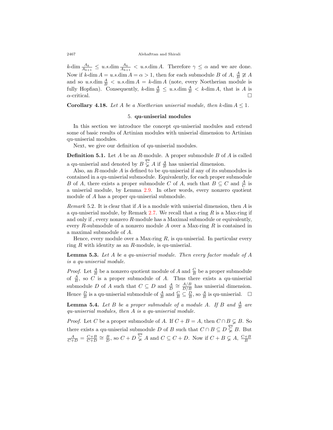#### 2467 Alehafttan and Shirali

 $k$ -dim  $\frac{A_k}{A_{k+1}} \leq u.s.\dim\frac{A_k}{A_{k+1}} < u.s.\dim A$ . Therefore  $\gamma \leq \alpha$  and we are done. Now if  $k$ -dim  $A = u.s.\dim A = \alpha > 1$ , then for each submodule *B* of  $A$ ,  $\frac{A}{B} \ncong A$ and so  $u.s.\dim\frac{A}{B} < u.s.\dim A = k\tanh A$  (note, every Noetherian module is fully Hopfian). Consequently,  $k$ -dim  $\frac{A}{B} \le u.s.\dim \frac{A}{B} < k$ -dim *A*, that is *A* is  $\alpha$ -critical.

**Corollary 4.18.** *Let A be a Noetherian uniserial module, then*  $k$ -dim  $A \leq 1$ *.* 

# 5. **qu-uniserial modules**

In this section we introduce the concept qu-uniserial modules and extend some of basic results of Artinian modules with uniserial dimension to Artinian qu-uniserial modules.

Next, we give our definition of qu-uniserial modules.

**Definition 5.1.** Let *A* be an *R*-module. A proper submodule *B* of *A* is called a qu-uniserial and denoted by  $B \nsubseteq A$  if  $\frac{A}{B}$  has uniserial dimension.

Also, an *R*-module *A* is defined to be qu-uniserial if any of its submodules is contained in a qu-uniserial submodule. Equivalently, for each proper submodule *B* of *A*, there exists a proper submodule *C* of *A*, such that  $B \subseteq C$  and  $\frac{A}{C}$  is a uniserial module, by Lemma [2.9](#page-4-1). In other words, every nonzero quotient module of *A* has a proper qu-uniserial submodule.

*Remark* 5.2*.* It is clear that if *A* is a module with uniserial dimension, then *A* is a qu-uniserial module, by Remark [2.7](#page-3-2). We recall that a ring *R* is a Max-ring if and only if , every nonzero *R*-module has a Maximal submodule or equivalently, every *R*-submodule of a nonzero module *A* over a Max-ring *R* is contained in a maximal submodule of *A*.

Hence, every module over a Max-ring *R*, is qu-uniserial. In particular every ring *R* with identity as an *R*-module, is qu-uniserial.

<span id="page-11-0"></span>**Lemma 5.3.** *Let A be a qu-uniserial module. Then every factor module of A is a qu-uniserial module.*

*Proof.* Let  $\frac{A}{B}$  be a nonzero quotient module of *A* and  $\frac{C}{B}$  be a proper submodule of  $\frac{A}{B}$ , so *C* is a proper submodule of *A*. Thus there exists a qu-uniserial submodule *D* of *A* such that  $C \subseteq D$  and  $\frac{A}{D} \cong \frac{A/B}{D/B}$  has uniserial dimension. Hence  $\frac{D}{B}$  is a qu-uniserial submodule of  $\frac{A}{B}$  and  $\frac{C}{B} \subseteq \frac{D}{B}$ , so  $\frac{A}{B}$  is qu-uniserial.  $\Box$ 

<span id="page-11-1"></span>**Lemma 5.4.** Let  $B$  be a proper submodule of a module  $A$ . If  $B$  and  $\frac{A}{B}$  are *qu-uniserial modules, then A is a qu-uniserial module.*

*Proof.* Let *C* be a proper submodule of *A*. If  $C + B = A$ , then  $C \cap B \subsetneq B$ . So there exists a qu-uniserial submodule *D* of *B* such that  $C \cap B \subseteq D \subsetneq^{\mathfrak{qu}} B$ . But  $\frac{A}{C+D} = \frac{C+B}{C+D} \cong \frac{B}{D}$ , so  $C + D \subsetneq^{\text{qu}} A$  and  $C \subseteq C + D$ . Now if  $C + B \subsetneq A$ ,  $\frac{C+B}{B}$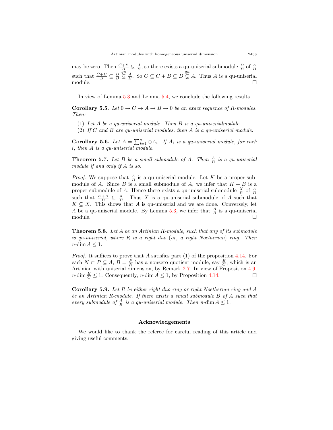may be zero. Then  $\frac{C+B}{B} \subsetneq \frac{A}{B}$ , so there exists a qu-uniserial submodule  $\frac{D}{B}$  of  $\frac{A}{B}$ such that  $\frac{C+B}{B} \subseteq \frac{D}{B}$  $\overline{Q}_{\frac{1}{2}}^{\tilde{u}}$  **B**  $\leq$  *C*  $\leq$  *C* + *B*  $\subseteq$  *D*  $\frac{q\tilde{u}}{\varphi}$  *A*. Thus *A* is a qu-uniserial module.  $\Box$ 

In view of Lemma [5.3](#page-11-0) and Lemma [5.4](#page-11-1), we conclude the following results.

**Corollary 5.5.** *Let*  $0 \to C \to A \to B \to 0$  *be an exact sequence of R-modules. Then:*

- (1) *Let A be a qu-uniserial module. Then B is a qu-uniserialmodule.*
- (2) *If C and B are qu-uniserial modules, then A is a qu-uniserial module.*

**Corollary 5.6.** Let  $A = \sum_{i=1}^{n} \oplus A_i$ . If  $A_i$  is a qu-uniserial module, for each *i, then A is a qu-uniserial module.*

**Theorem 5.7.** Let  $B$  be a small submodule of  $A$ . Then  $\frac{A}{B}$  is a qu-uniserial *module if and only if A is so.*

*Proof.* We suppose that  $\frac{A}{B}$  is a qu-uniserial module. Let *K* be a proper submodule of *A*. Since *B* is a small submodule of *A*, we infer that  $K + B$  is a proper submodule of *A*. Hence there exists a qu-uniserial submodule  $\frac{X}{B}$  of  $\frac{A}{B}$ such that  $\frac{K+B}{B} \subseteq \frac{X}{B}$ . Thus *X* is a qu-uniserial submodule of *A* such that  $K \subseteq X$ . This shows that *A* is qu-uniserial and we are done. Conversely, let *A* be a qu-uniserial module. By Lemma [5.3,](#page-11-0) we infer that  $\frac{A}{B}$  is a qu-uniserial module.  $\Box$ 

**Theorem 5.8.** *Let A be an Artinian R-module, such that any of its submodule is qu-uniserial, where R is a right duo* (*or, a right Noetherian*) *ring. Then*  $n$ -dim  $A \leq 1$ .

*Proof.* It suffices to prove that *A* satisfies part (1) of the proposition [4.14.](#page-10-0) For each  $N \subset P \subseteq A$ ,  $B = \frac{P}{N}$  has a nonzero quotient module, say  $\frac{B}{C}$ , which is an Artinian with uniserial dimension, by Remark [2.7.](#page-3-2) In view of Proposition [4.9](#page-9-0), *n*-dim  $\frac{B}{C} \leq 1$ . Consequently, *n*-dim  $A \leq 1$ , by Proposition [4.14](#page-10-0). □

**Corollary 5.9.** *Let R be either right duo ring or right Noetherian ring and A be an Artinian R-module. If there exists a small submodule B of A such that every submodule of*  $\frac{A}{B}$  *is a qu-uniserial module. Then n*-dim  $A \leq 1$ *.* 

## **Acknowledgements**

We would like to thank the referee for careful reading of this article and giving useful comments.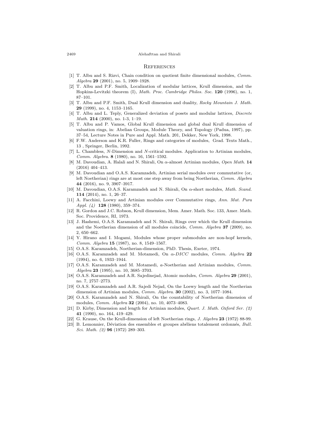#### 2469 Alehafttan and Shirali

### **REFERENCES**

- <span id="page-13-13"></span>[1] T. Albu and S. Rizvi, Chain condition on quotient finite dimensional modules, *Comm. Algebra* **29** (2001), no. 5, 1909–1928.
- [2] T. Albu and P.F. Smith, Localization of modular lattices, Krull dimension, and the Hopkins-Levitzki theorem (I), *Math. Proc. Cambridge Philos. Soc.* **120** (1996), no. 1, 87–101.
- <span id="page-13-12"></span>[3] T. Albu and P.F. Smith, Dual Krull dimension and duality, *Rocky Mountain J. Math.* **29** (1999), no. 4, 1153–1165.
- [4] T. Albu and L. Teply, Generalized deviation of posets and modular lattices, *Discrete Math.* **214** (2000), no. 1-3, 1–19.
- <span id="page-13-5"></span>[5] T. Albu and P. Vamos, Global Krull dimension and global dual Krull dimension of valuation rings, in: Abelian Groups, Module Theory, and Topology (Padua, 1997), pp. 37–54, Lecture Notes in Pure and Appl. Math. 201, Dekker, New York, 1998.
- [6] F.W. Anderson and K.R. Fuller, Rings and categories of modules, Grad. Texts Math., 13 , Springer, Berlin, 1992.
- <span id="page-13-6"></span>[7] L. Chambless, *N*-Dimension and *N*-critical modules. Application to Artinian modules, *Comm. Algebra*. **8** (1980), no. 16, 1561–1592.
- [8] M. Davoudian, A. Halali and N. Shirali, On *α*-almost Artinian modules, *Open Math.* **14** (2016) 404–413.
- <span id="page-13-0"></span>[9] M. Davoudian and O.A.S. Karamzadeh, Artinian serial modules over commutative (or, left Noetherian) rings are at most one step away from being Noetherian, *Comm. Algebra* **44** (2016), no. 9, 3907–3917.
- <span id="page-13-10"></span>[10] M. Davoudian, O.A.S. Karamzadeh and N. Shirali, On *α*-short modules, *Math. Scand.* **114** (2014), no. 1, 26–37.
- [11] A. Facchini, Loewy and Artinian modules over Commutative rings, *Ann. Mat. Pura Appl. (4)* **128** (1980), 359–374.
- [12] R. Gordon and J.C. Robson, Krull dimension, Mem. Amer. Math. Soc. 133, Amer. Math. Soc. Providence, RI, 1973.
- <span id="page-13-9"></span>[13] J. Hashemi, O.A.S. Karamzadeh and N. Shirali, Rings over which the Krull dimension and the Noetherian dimension of all modules coincide, *Comm. Algebra* **37** (2009), no. 2, 650–662.
- <span id="page-13-11"></span>[14] Y. Hirano and I. Mogami, Modules whose proper submodules are non-hopf kernels, *Comm. Algebra* **15** (1987), no. 8, 1549–1567.
- [15] O.A.S. Karamzadeh, Noetherian-dimension, PhD. Thesis, Exeter, 1974.
- [16] O.A.S. Karamzadeh and M. Motamedi, On *α*-*DICC* modules, *Comm. Algebra* **22** (1994), no. 6, 1933–1944.
- <span id="page-13-8"></span>[17] O.A.S. Karamzadeh and M. Motamedi, *a*-Noetherian and Artinian modules, *Comm. Algebra* **23** (1995), no. 10, 3685–3703.
- <span id="page-13-3"></span>[18] O.A.S. Karamzadeh and A.R. Sajedinejad, Atomic modules, *Comm. Algebra* **29** (2001), no. 7, 2757–2773.
- <span id="page-13-2"></span>[19] O.A.S. Karamzadeh and A.R. Sajedi Nejad, On the Loewy length and the Noetherian dimension of Artinian modules, *Comm. Algebra*. **30** (2002), no. 3, 1077–1084.
- <span id="page-13-7"></span>[20] O.A.S. Karamzadeh and N. Shirali, On the countability of Noetherian dimension of modules, *Comm. Algebra* **32** (2004), no. 10, 4073–4083.
- <span id="page-13-1"></span>[21] D. Kirby, Dimension and length for Artinian modules, *Quart. J. Math. Oxford Ser. (2)* **41** (1990), no. 164, 419–429.
- [22] G. Krause, On the Krull-dimension of left Noetherian rings, *J. Algebra* **23** (1972) 88-99.
- <span id="page-13-4"></span>[23] B. Lemonnier, Déviation des ensembles et groupes abéliens totalement ordonnés, *Bull. Sci. Math. (2)* **96** (1972) 289–303.